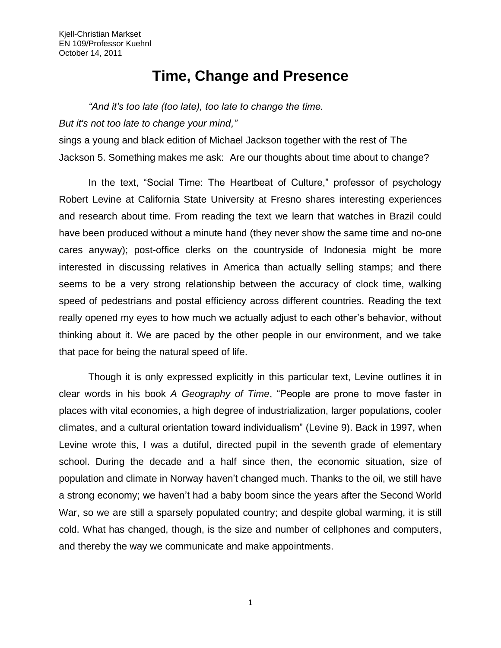## **Time, Change and Presence**

## *"And it's too late (too late), too late to change the time.*

*But it's not too late to change your mind,"*

sings a young and black edition of Michael Jackson together with the rest of The Jackson 5. Something makes me ask: Are our thoughts about time about to change?

In the text, "Social Time: The Heartbeat of Culture," professor of psychology Robert Levine at California State University at Fresno shares interesting experiences and research about time. From reading the text we learn that watches in Brazil could have been produced without a minute hand (they never show the same time and no-one cares anyway); post-office clerks on the countryside of Indonesia might be more interested in discussing relatives in America than actually selling stamps; and there seems to be a very strong relationship between the accuracy of clock time, walking speed of pedestrians and postal efficiency across different countries. Reading the text really opened my eyes to how much we actually adjust to each other's behavior, without thinking about it. We are paced by the other people in our environment, and we take that pace for being the natural speed of life.

Though it is only expressed explicitly in this particular text, Levine outlines it in clear words in his book *A Geography of Time*, "People are prone to move faster in places with vital economies, a high degree of industrialization, larger populations, cooler climates, and a cultural orientation toward individualism" (Levine 9). Back in 1997, when Levine wrote this, I was a dutiful, directed pupil in the seventh grade of elementary school. During the decade and a half since then, the economic situation, size of population and climate in Norway haven't changed much. Thanks to the oil, we still have a strong economy; we haven't had a baby boom since the years after the Second World War, so we are still a sparsely populated country; and despite global warming, it is still cold. What has changed, though, is the size and number of cellphones and computers, and thereby the way we communicate and make appointments.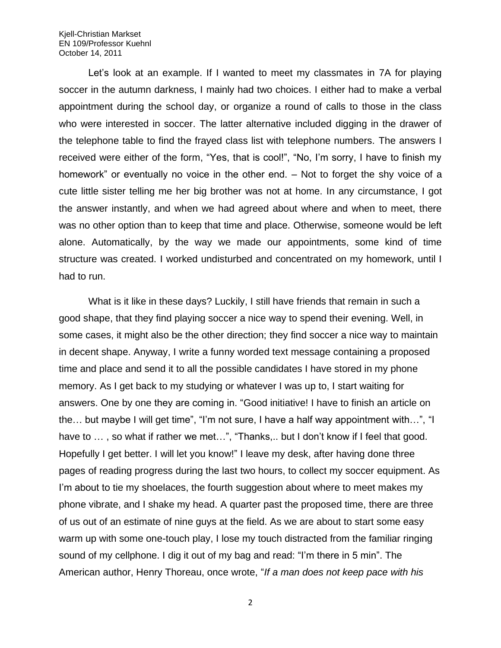## Kjell-Christian Markset EN 109/Professor Kuehnl October 14, 2011

Let's look at an example. If I wanted to meet my classmates in 7A for playing soccer in the autumn darkness, I mainly had two choices. I either had to make a verbal appointment during the school day, or organize a round of calls to those in the class who were interested in soccer. The latter alternative included digging in the drawer of the telephone table to find the frayed class list with telephone numbers. The answers I received were either of the form, "Yes, that is cool!", "No, I'm sorry, I have to finish my homework" or eventually no voice in the other end. – Not to forget the shy voice of a cute little sister telling me her big brother was not at home. In any circumstance, I got the answer instantly, and when we had agreed about where and when to meet, there was no other option than to keep that time and place. Otherwise, someone would be left alone. Automatically, by the way we made our appointments, some kind of time structure was created. I worked undisturbed and concentrated on my homework, until I had to run.

What is it like in these days? Luckily, I still have friends that remain in such a good shape, that they find playing soccer a nice way to spend their evening. Well, in some cases, it might also be the other direction; they find soccer a nice way to maintain in decent shape. Anyway, I write a funny worded text message containing a proposed time and place and send it to all the possible candidates I have stored in my phone memory. As I get back to my studying or whatever I was up to, I start waiting for answers. One by one they are coming in. "Good initiative! I have to finish an article on the… but maybe I will get time", "I'm not sure, I have a half way appointment with…", "I have to ..., so what if rather we met...", "Thanks,.. but I don't know if I feel that good. Hopefully I get better. I will let you know!" I leave my desk, after having done three pages of reading progress during the last two hours, to collect my soccer equipment. As I'm about to tie my shoelaces, the fourth suggestion about where to meet makes my phone vibrate, and I shake my head. A quarter past the proposed time, there are three of us out of an estimate of nine guys at the field. As we are about to start some easy warm up with some one-touch play, I lose my touch distracted from the familiar ringing sound of my cellphone. I dig it out of my bag and read: "I'm there in 5 min". The American author, Henry Thoreau, once wrote, "*If a man does not keep pace with his* 

2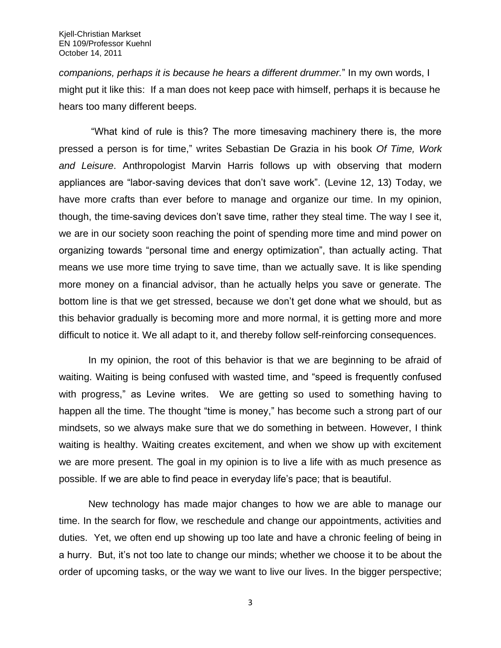*companions, perhaps it is because he hears a different drummer.*" In my own words, I might put it like this: If a man does not keep pace with himself, perhaps it is because he hears too many different beeps.

"What kind of rule is this? The more timesaving machinery there is, the more pressed a person is for time," writes Sebastian De Grazia in his book *Of Time, Work and Leisure*. Anthropologist Marvin Harris follows up with observing that modern appliances are "labor-saving devices that don't save work". (Levine 12, 13) Today, we have more crafts than ever before to manage and organize our time. In my opinion, though, the time-saving devices don't save time, rather they steal time. The way I see it, we are in our society soon reaching the point of spending more time and mind power on organizing towards "personal time and energy optimization", than actually acting. That means we use more time trying to save time, than we actually save. It is like spending more money on a financial advisor, than he actually helps you save or generate. The bottom line is that we get stressed, because we don't get done what we should, but as this behavior gradually is becoming more and more normal, it is getting more and more difficult to notice it. We all adapt to it, and thereby follow self-reinforcing consequences.

In my opinion, the root of this behavior is that we are beginning to be afraid of waiting. Waiting is being confused with wasted time, and "speed is frequently confused with progress," as Levine writes. We are getting so used to something having to happen all the time. The thought "time is money," has become such a strong part of our mindsets, so we always make sure that we do something in between. However, I think waiting is healthy. Waiting creates excitement, and when we show up with excitement we are more present. The goal in my opinion is to live a life with as much presence as possible. If we are able to find peace in everyday life's pace; that is beautiful.

New technology has made major changes to how we are able to manage our time. In the search for flow, we reschedule and change our appointments, activities and duties. Yet, we often end up showing up too late and have a chronic feeling of being in a hurry. But, it's not too late to change our minds; whether we choose it to be about the order of upcoming tasks, or the way we want to live our lives. In the bigger perspective;

3